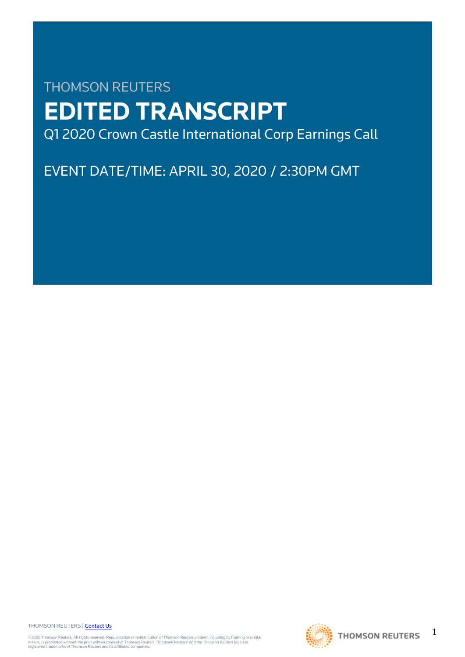# THOMSON REUTERS **EDITED TRANSCRIPT** Q1 2020 Crown Castle International Corp Earnings Call

# EVENT DATE/TIME: APRIL 30, 2020 / 2:30PM GMT

THOMSON REUTERS | [Contact Us](https://my.thomsonreuters.com/ContactUsNew)

©2020 Thomson Reuters. All rights reserved. Republication or redistribution of Thomson Reuters content, including by framing or similar<br>means, is prohibited without the prior written consent of Thomson Reuters. 'Thomson Re



1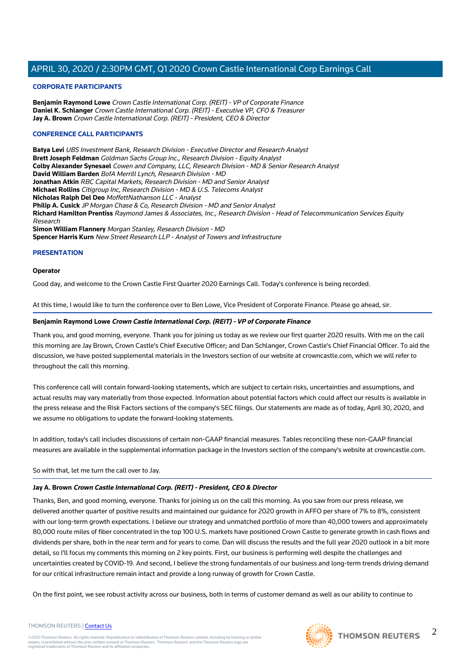## **CORPORATE PARTICIPANTS**

**Benjamin Raymond Lowe** Crown Castle International Corp. (REIT) - VP of Corporate Finance **Daniel K. Schlanger** Crown Castle International Corp. (REIT) - Executive VP, CFO & Treasurer **Jay A. Brown** Crown Castle International Corp. (REIT) - President, CEO & Director

## **CONFERENCE CALL PARTICIPANTS**

**Batya Levi** UBS Investment Bank, Research Division - Executive Director and Research Analyst **Brett Joseph Feldman** Goldman Sachs Group Inc., Research Division - Equity Analyst **Colby Alexander Synesael** Cowen and Company, LLC, Research Division - MD & Senior Research Analyst **David William Barden** BofA Merrill Lynch, Research Division - MD **Jonathan Atkin** RBC Capital Markets, Research Division - MD and Senior Analyst **Michael Rollins** Citigroup Inc, Research Division - MD & U.S. Telecoms Analyst **Nicholas Ralph Del Deo** MoffettNathanson LLC - Analyst **Philip A. Cusick** JP Morgan Chase & Co, Research Division - MD and Senior Analyst **Richard Hamilton Prentiss** Raymond James & Associates, Inc., Research Division - Head of Telecommunication Services Equity Research **Simon William Flannery** Morgan Stanley, Research Division - MD **Spencer Harris Kurn** New Street Research LLP - Analyst of Towers and Infrastructure

# **PRESENTATION**

#### **Operator**

Good day, and welcome to the Crown Castle First Quarter 2020 Earnings Call. Today's conference is being recorded.

At this time, I would like to turn the conference over to Ben Lowe, Vice President of Corporate Finance. Please go ahead, sir.

## **Benjamin Raymond Lowe Crown Castle International Corp. (REIT) - VP of Corporate Finance**

Thank you, and good morning, everyone. Thank you for joining us today as we review our first quarter 2020 results. With me on the call this morning are Jay Brown, Crown Castle's Chief Executive Officer; and Dan Schlanger, Crown Castle's Chief Financial Officer. To aid the discussion, we have posted supplemental materials in the Investors section of our website at crowncastle.com, which we will refer to throughout the call this morning.

This conference call will contain forward-looking statements, which are subject to certain risks, uncertainties and assumptions, and actual results may vary materially from those expected. Information about potential factors which could affect our results is available in the press release and the Risk Factors sections of the company's SEC filings. Our statements are made as of today, April 30, 2020, and we assume no obligations to update the forward-looking statements.

In addition, today's call includes discussions of certain non-GAAP financial measures. Tables reconciling these non-GAAP financial measures are available in the supplemental information package in the Investors section of the company's website at crowncastle.com.

## So with that, let me turn the call over to Jay.

## **Jay A. Brown Crown Castle International Corp. (REIT) - President, CEO & Director**

Thanks, Ben, and good morning, everyone. Thanks for joining us on the call this morning. As you saw from our press release, we delivered another quarter of positive results and maintained our guidance for 2020 growth in AFFO per share of 7% to 8%, consistent with our long-term growth expectations. I believe our strategy and unmatched portfolio of more than 40,000 towers and approximately 80,000 route miles of fiber concentrated in the top 100 U.S. markets have positioned Crown Castle to generate growth in cash flows and dividends per share, both in the near term and for years to come. Dan will discuss the results and the full year 2020 outlook in a bit more detail, so I'll focus my comments this morning on 2 key points. First, our business is performing well despite the challenges and uncertainties created by COVID-19. And second, I believe the strong fundamentals of our business and long-term trends driving demand for our critical infrastructure remain intact and provide a long runway of growth for Crown Castle.

On the first point, we see robust activity across our business, both in terms of customer demand as well as our ability to continue to

#### THOMSON REUTERS | [Contact Us](https://my.thomsonreuters.com/ContactUsNew)

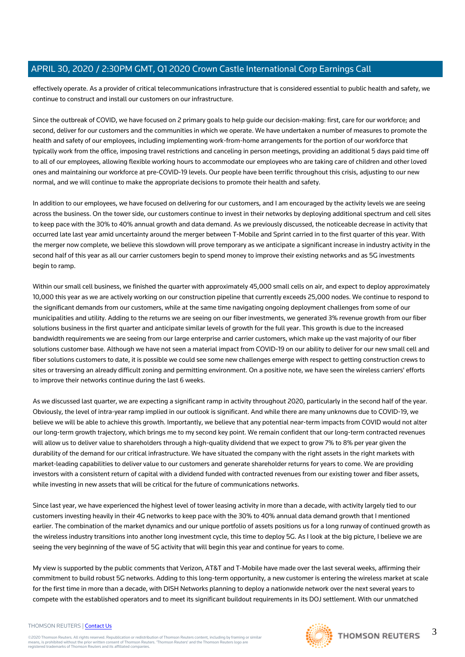effectively operate. As a provider of critical telecommunications infrastructure that is considered essential to public health and safety, we continue to construct and install our customers on our infrastructure.

Since the outbreak of COVID, we have focused on 2 primary goals to help guide our decision-making: first, care for our workforce; and second, deliver for our customers and the communities in which we operate. We have undertaken a number of measures to promote the health and safety of our employees, including implementing work-from-home arrangements for the portion of our workforce that typically work from the office, imposing travel restrictions and canceling in person meetings, providing an additional 5 days paid time off to all of our employees, allowing flexible working hours to accommodate our employees who are taking care of children and other loved ones and maintaining our workforce at pre-COVID-19 levels. Our people have been terrific throughout this crisis, adjusting to our new normal, and we will continue to make the appropriate decisions to promote their health and safety.

In addition to our employees, we have focused on delivering for our customers, and I am encouraged by the activity levels we are seeing across the business. On the tower side, our customers continue to invest in their networks by deploying additional spectrum and cell sites to keep pace with the 30% to 40% annual growth and data demand. As we previously discussed, the noticeable decrease in activity that occurred late last year amid uncertainty around the merger between T-Mobile and Sprint carried in to the first quarter of this year. With the merger now complete, we believe this slowdown will prove temporary as we anticipate a significant increase in industry activity in the second half of this year as all our carrier customers begin to spend money to improve their existing networks and as 5G investments begin to ramp.

Within our small cell business, we finished the quarter with approximately 45,000 small cells on air, and expect to deploy approximately 10,000 this year as we are actively working on our construction pipeline that currently exceeds 25,000 nodes. We continue to respond to the significant demands from our customers, while at the same time navigating ongoing deployment challenges from some of our municipalities and utility. Adding to the returns we are seeing on our fiber investments, we generated 3% revenue growth from our fiber solutions business in the first quarter and anticipate similar levels of growth for the full year. This growth is due to the increased bandwidth requirements we are seeing from our large enterprise and carrier customers, which make up the vast majority of our fiber solutions customer base. Although we have not seen a material impact from COVID-19 on our ability to deliver for our new small cell and fiber solutions customers to date, it is possible we could see some new challenges emerge with respect to getting construction crews to sites or traversing an already difficult zoning and permitting environment. On a positive note, we have seen the wireless carriers' efforts to improve their networks continue during the last 6 weeks.

As we discussed last quarter, we are expecting a significant ramp in activity throughout 2020, particularly in the second half of the year. Obviously, the level of intra-year ramp implied in our outlook is significant. And while there are many unknowns due to COVID-19, we believe we will be able to achieve this growth. Importantly, we believe that any potential near-term impacts from COVID would not alter our long-term growth trajectory, which brings me to my second key point. We remain confident that our long-term contracted revenues will allow us to deliver value to shareholders through a high-quality dividend that we expect to grow 7% to 8% per year given the durability of the demand for our critical infrastructure. We have situated the company with the right assets in the right markets with market-leading capabilities to deliver value to our customers and generate shareholder returns for years to come. We are providing investors with a consistent return of capital with a dividend funded with contracted revenues from our existing tower and fiber assets, while investing in new assets that will be critical for the future of communications networks.

Since last year, we have experienced the highest level of tower leasing activity in more than a decade, with activity largely tied to our customers investing heavily in their 4G networks to keep pace with the 30% to 40% annual data demand growth that I mentioned earlier. The combination of the market dynamics and our unique portfolio of assets positions us for a long runway of continued growth as the wireless industry transitions into another long investment cycle, this time to deploy 5G. As I look at the big picture, I believe we are seeing the very beginning of the wave of 5G activity that will begin this year and continue for years to come.

My view is supported by the public comments that Verizon, AT&T and T-Mobile have made over the last several weeks, affirming their commitment to build robust 5G networks. Adding to this long-term opportunity, a new customer is entering the wireless market at scale for the first time in more than a decade, with DISH Networks planning to deploy a nationwide network over the next several years to compete with the established operators and to meet its significant buildout requirements in its DOJ settlement. With our unmatched

#### THOMSON REUTERS | [Contact Us](https://my.thomsonreuters.com/ContactUsNew)

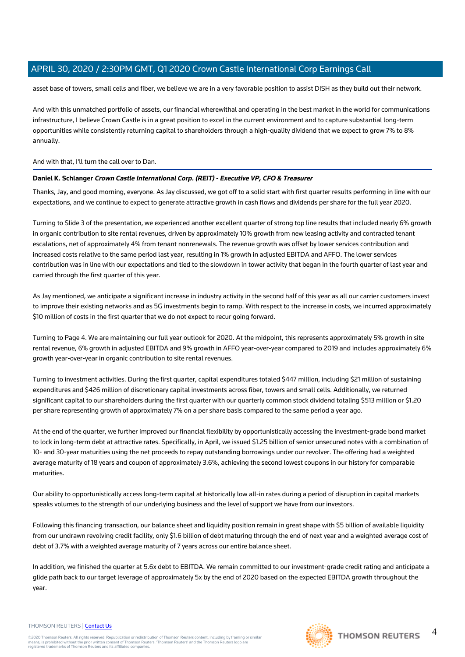asset base of towers, small cells and fiber, we believe we are in a very favorable position to assist DISH as they build out their network.

And with this unmatched portfolio of assets, our financial wherewithal and operating in the best market in the world for communications infrastructure, I believe Crown Castle is in a great position to excel in the current environment and to capture substantial long-term opportunities while consistently returning capital to shareholders through a high-quality dividend that we expect to grow 7% to 8% annually.

## And with that, I'll turn the call over to Dan.

## **Daniel K. Schlanger Crown Castle International Corp. (REIT) - Executive VP, CFO & Treasurer**

Thanks, Jay, and good morning, everyone. As Jay discussed, we got off to a solid start with first quarter results performing in line with our expectations, and we continue to expect to generate attractive growth in cash flows and dividends per share for the full year 2020.

Turning to Slide 3 of the presentation, we experienced another excellent quarter of strong top line results that included nearly 6% growth in organic contribution to site rental revenues, driven by approximately 10% growth from new leasing activity and contracted tenant escalations, net of approximately 4% from tenant nonrenewals. The revenue growth was offset by lower services contribution and increased costs relative to the same period last year, resulting in 1% growth in adjusted EBITDA and AFFO. The lower services contribution was in line with our expectations and tied to the slowdown in tower activity that began in the fourth quarter of last year and carried through the first quarter of this year.

As Jay mentioned, we anticipate a significant increase in industry activity in the second half of this year as all our carrier customers invest to improve their existing networks and as 5G investments begin to ramp. With respect to the increase in costs, we incurred approximately \$10 million of costs in the first quarter that we do not expect to recur going forward.

Turning to Page 4. We are maintaining our full year outlook for 2020. At the midpoint, this represents approximately 5% growth in site rental revenue, 6% growth in adjusted EBITDA and 9% growth in AFFO year-over-year compared to 2019 and includes approximately 6% growth year-over-year in organic contribution to site rental revenues.

Turning to investment activities. During the first quarter, capital expenditures totaled \$447 million, including \$21 million of sustaining expenditures and \$426 million of discretionary capital investments across fiber, towers and small cells. Additionally, we returned significant capital to our shareholders during the first quarter with our quarterly common stock dividend totaling \$513 million or \$1.20 per share representing growth of approximately 7% on a per share basis compared to the same period a year ago.

At the end of the quarter, we further improved our financial flexibility by opportunistically accessing the investment-grade bond market to lock in long-term debt at attractive rates. Specifically, in April, we issued \$1.25 billion of senior unsecured notes with a combination of 10- and 30-year maturities using the net proceeds to repay outstanding borrowings under our revolver. The offering had a weighted average maturity of 18 years and coupon of approximately 3.6%, achieving the second lowest coupons in our history for comparable maturities.

Our ability to opportunistically access long-term capital at historically low all-in rates during a period of disruption in capital markets speaks volumes to the strength of our underlying business and the level of support we have from our investors.

Following this financing transaction, our balance sheet and liquidity position remain in great shape with \$5 billion of available liquidity from our undrawn revolving credit facility, only \$1.6 billion of debt maturing through the end of next year and a weighted average cost of debt of 3.7% with a weighted average maturity of 7 years across our entire balance sheet.

In addition, we finished the quarter at 5.6x debt to EBITDA. We remain committed to our investment-grade credit rating and anticipate a glide path back to our target leverage of approximately 5x by the end of 2020 based on the expected EBITDA growth throughout the year.

#### THOMSON REUTERS | [Contact Us](https://my.thomsonreuters.com/ContactUsNew)

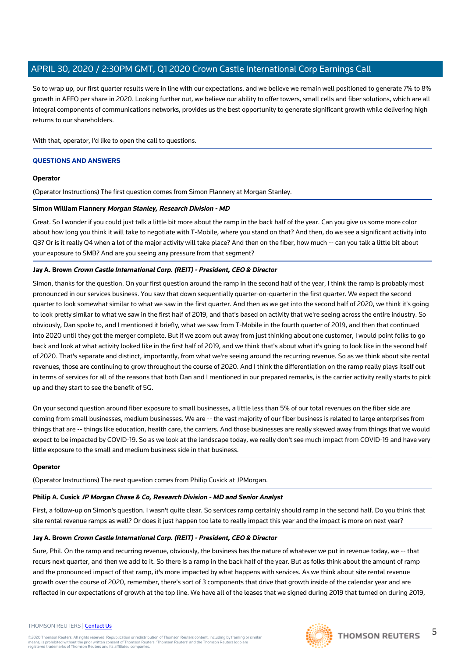So to wrap up, our first quarter results were in line with our expectations, and we believe we remain well positioned to generate 7% to 8% growth in AFFO per share in 2020. Looking further out, we believe our ability to offer towers, small cells and fiber solutions, which are all integral components of communications networks, provides us the best opportunity to generate significant growth while delivering high returns to our shareholders.

With that, operator, I'd like to open the call to questions.

#### **QUESTIONS AND ANSWERS**

#### **Operator**

(Operator Instructions) The first question comes from Simon Flannery at Morgan Stanley.

## **Simon William Flannery Morgan Stanley, Research Division - MD**

Great. So I wonder if you could just talk a little bit more about the ramp in the back half of the year. Can you give us some more color about how long you think it will take to negotiate with T-Mobile, where you stand on that? And then, do we see a significant activity into Q3? Or is it really Q4 when a lot of the major activity will take place? And then on the fiber, how much -- can you talk a little bit about your exposure to SMB? And are you seeing any pressure from that segment?

## **Jay A. Brown Crown Castle International Corp. (REIT) - President, CEO & Director**

Simon, thanks for the question. On your first question around the ramp in the second half of the year, I think the ramp is probably most pronounced in our services business. You saw that down sequentially quarter-on-quarter in the first quarter. We expect the second quarter to look somewhat similar to what we saw in the first quarter. And then as we get into the second half of 2020, we think it's going to look pretty similar to what we saw in the first half of 2019, and that's based on activity that we're seeing across the entire industry. So obviously, Dan spoke to, and I mentioned it briefly, what we saw from T-Mobile in the fourth quarter of 2019, and then that continued into 2020 until they got the merger complete. But if we zoom out away from just thinking about one customer, I would point folks to go back and look at what activity looked like in the first half of 2019, and we think that's about what it's going to look like in the second half of 2020. That's separate and distinct, importantly, from what we're seeing around the recurring revenue. So as we think about site rental revenues, those are continuing to grow throughout the course of 2020. And I think the differentiation on the ramp really plays itself out in terms of services for all of the reasons that both Dan and I mentioned in our prepared remarks, is the carrier activity really starts to pick up and they start to see the benefit of 5G.

On your second question around fiber exposure to small businesses, a little less than 5% of our total revenues on the fiber side are coming from small businesses, medium businesses. We are -- the vast majority of our fiber business is related to large enterprises from things that are -- things like education, health care, the carriers. And those businesses are really skewed away from things that we would expect to be impacted by COVID-19. So as we look at the landscape today, we really don't see much impact from COVID-19 and have very little exposure to the small and medium business side in that business.

#### **Operator**

(Operator Instructions) The next question comes from Philip Cusick at JPMorgan.

# **Philip A. Cusick JP Morgan Chase & Co, Research Division - MD and Senior Analyst**

First, a follow-up on Simon's question. I wasn't quite clear. So services ramp certainly should ramp in the second half. Do you think that site rental revenue ramps as well? Or does it just happen too late to really impact this year and the impact is more on next year?

# **Jay A. Brown Crown Castle International Corp. (REIT) - President, CEO & Director**

Sure, Phil. On the ramp and recurring revenue, obviously, the business has the nature of whatever we put in revenue today, we -- that recurs next quarter, and then we add to it. So there is a ramp in the back half of the year. But as folks think about the amount of ramp and the pronounced impact of that ramp, it's more impacted by what happens with services. As we think about site rental revenue growth over the course of 2020, remember, there's sort of 3 components that drive that growth inside of the calendar year and are reflected in our expectations of growth at the top line. We have all of the leases that we signed during 2019 that turned on during 2019,

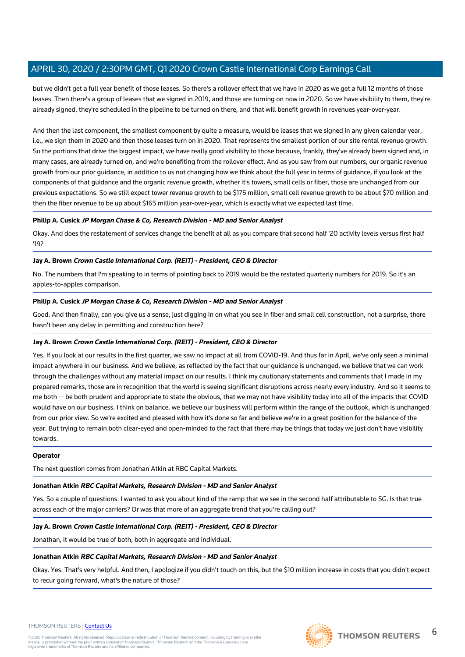but we didn't get a full year benefit of those leases. So there's a rollover effect that we have in 2020 as we get a full 12 months of those leases. Then there's a group of leases that we signed in 2019, and those are turning on now in 2020. So we have visibility to them, they're already signed, they're scheduled in the pipeline to be turned on there, and that will benefit growth in revenues year-over-year.

And then the last component, the smallest component by quite a measure, would be leases that we signed in any given calendar year, i.e., we sign them in 2020 and then those leases turn on in 2020. That represents the smallest portion of our site rental revenue growth. So the portions that drive the biggest impact, we have really good visibility to those because, frankly, they've already been signed and, in many cases, are already turned on, and we're benefiting from the rollover effect. And as you saw from our numbers, our organic revenue growth from our prior guidance, in addition to us not changing how we think about the full year in terms of guidance, if you look at the components of that guidance and the organic revenue growth, whether it's towers, small cells or fiber, those are unchanged from our previous expectations. So we still expect tower revenue growth to be \$175 million, small cell revenue growth to be about \$70 million and then the fiber revenue to be up about \$165 million year-over-year, which is exactly what we expected last time.

## **Philip A. Cusick JP Morgan Chase & Co, Research Division - MD and Senior Analyst**

Okay. And does the restatement of services change the benefit at all as you compare that second half '20 activity levels versus first half '19?

#### **Jay A. Brown Crown Castle International Corp. (REIT) - President, CEO & Director**

No. The numbers that I'm speaking to in terms of pointing back to 2019 would be the restated quarterly numbers for 2019. So it's an apples-to-apples comparison.

#### **Philip A. Cusick JP Morgan Chase & Co, Research Division - MD and Senior Analyst**

Good. And then finally, can you give us a sense, just digging in on what you see in fiber and small cell construction, not a surprise, there hasn't been any delay in permitting and construction here?

## **Jay A. Brown Crown Castle International Corp. (REIT) - President, CEO & Director**

Yes. If you look at our results in the first quarter, we saw no impact at all from COVID-19. And thus far in April, we've only seen a minimal impact anywhere in our business. And we believe, as reflected by the fact that our guidance is unchanged, we believe that we can work through the challenges without any material impact on our results. I think my cautionary statements and comments that I made in my prepared remarks, those are in recognition that the world is seeing significant disruptions across nearly every industry. And so it seems to me both -- be both prudent and appropriate to state the obvious, that we may not have visibility today into all of the impacts that COVID would have on our business. I think on balance, we believe our business will perform within the range of the outlook, which is unchanged from our prior view. So we're excited and pleased with how it's done so far and believe we're in a great position for the balance of the year. But trying to remain both clear-eyed and open-minded to the fact that there may be things that today we just don't have visibility towards.

#### **Operator**

The next question comes from Jonathan Atkin at RBC Capital Markets.

#### **Jonathan Atkin RBC Capital Markets, Research Division - MD and Senior Analyst**

Yes. So a couple of questions. I wanted to ask you about kind of the ramp that we see in the second half attributable to 5G. Is that true across each of the major carriers? Or was that more of an aggregate trend that you're calling out?

#### **Jay A. Brown Crown Castle International Corp. (REIT) - President, CEO & Director**

Jonathan, it would be true of both, both in aggregate and individual.

#### **Jonathan Atkin RBC Capital Markets, Research Division - MD and Senior Analyst**

Okay. Yes. That's very helpful. And then, I apologize if you didn't touch on this, but the \$10 million increase in costs that you didn't expect to recur going forward, what's the nature of those?



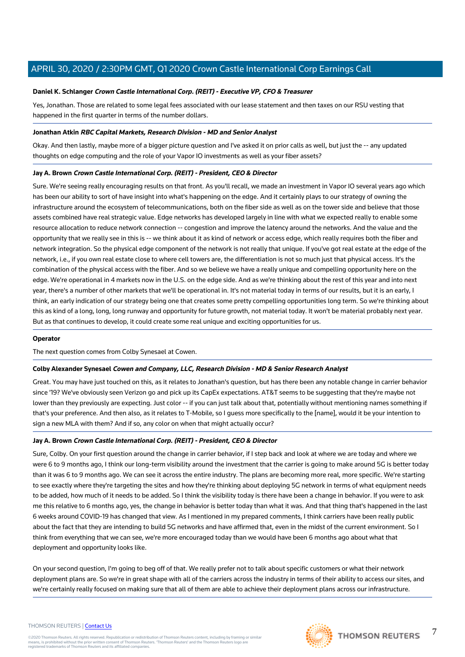## **Daniel K. Schlanger Crown Castle International Corp. (REIT) - Executive VP, CFO & Treasurer**

Yes, Jonathan. Those are related to some legal fees associated with our lease statement and then taxes on our RSU vesting that happened in the first quarter in terms of the number dollars.

## **Jonathan Atkin RBC Capital Markets, Research Division - MD and Senior Analyst**

Okay. And then lastly, maybe more of a bigger picture question and I've asked it on prior calls as well, but just the -- any updated thoughts on edge computing and the role of your Vapor IO investments as well as your fiber assets?

## **Jay A. Brown Crown Castle International Corp. (REIT) - President, CEO & Director**

Sure. We're seeing really encouraging results on that front. As you'll recall, we made an investment in Vapor IO several years ago which has been our ability to sort of have insight into what's happening on the edge. And it certainly plays to our strategy of owning the infrastructure around the ecosystem of telecommunications, both on the fiber side as well as on the tower side and believe that those assets combined have real strategic value. Edge networks has developed largely in line with what we expected really to enable some resource allocation to reduce network connection -- congestion and improve the latency around the networks. And the value and the opportunity that we really see in this is -- we think about it as kind of network or access edge, which really requires both the fiber and network integration. So the physical edge component of the network is not really that unique. If you've got real estate at the edge of the network, i.e., if you own real estate close to where cell towers are, the differentiation is not so much just that physical access. It's the combination of the physical access with the fiber. And so we believe we have a really unique and compelling opportunity here on the edge. We're operational in 4 markets now in the U.S. on the edge side. And as we're thinking about the rest of this year and into next year, there's a number of other markets that we'll be operational in. It's not material today in terms of our results, but it is an early, I think, an early indication of our strategy being one that creates some pretty compelling opportunities long term. So we're thinking about this as kind of a long, long, long runway and opportunity for future growth, not material today. It won't be material probably next year. But as that continues to develop, it could create some real unique and exciting opportunities for us.

#### **Operator**

The next question comes from Colby Synesael at Cowen.

## **Colby Alexander Synesael Cowen and Company, LLC, Research Division - MD & Senior Research Analyst**

Great. You may have just touched on this, as it relates to Jonathan's question, but has there been any notable change in carrier behavior since '19? We've obviously seen Verizon go and pick up its CapEx expectations. AT&T seems to be suggesting that they're maybe not lower than they previously are expecting. Just color -- if you can just talk about that, potentially without mentioning names something if that's your preference. And then also, as it relates to T-Mobile, so I guess more specifically to the [name], would it be your intention to sign a new MLA with them? And if so, any color on when that might actually occur?

## **Jay A. Brown Crown Castle International Corp. (REIT) - President, CEO & Director**

Sure, Colby. On your first question around the change in carrier behavior, if I step back and look at where we are today and where we were 6 to 9 months ago, I think our long-term visibility around the investment that the carrier is going to make around 5G is better today than it was 6 to 9 months ago. We can see it across the entire industry. The plans are becoming more real, more specific. We're starting to see exactly where they're targeting the sites and how they're thinking about deploying 5G network in terms of what equipment needs to be added, how much of it needs to be added. So I think the visibility today is there have been a change in behavior. If you were to ask me this relative to 6 months ago, yes, the change in behavior is better today than what it was. And that thing that's happened in the last 6 weeks around COVID-19 has changed that view. As I mentioned in my prepared comments, I think carriers have been really public about the fact that they are intending to build 5G networks and have affirmed that, even in the midst of the current environment. So I think from everything that we can see, we're more encouraged today than we would have been 6 months ago about what that deployment and opportunity looks like.

On your second question, I'm going to beg off of that. We really prefer not to talk about specific customers or what their network deployment plans are. So we're in great shape with all of the carriers across the industry in terms of their ability to access our sites, and we're certainly really focused on making sure that all of them are able to achieve their deployment plans across our infrastructure.

#### THOMSON REUTERS | [Contact Us](https://my.thomsonreuters.com/ContactUsNew)

©2020 Thomson Reuters. All rights reserved. Republication or redistribution of Thomson Reuters content, including by framing or similar<br>means, is prohibited without the prior written consent of Thomson Reuters. 'Thomson Re





7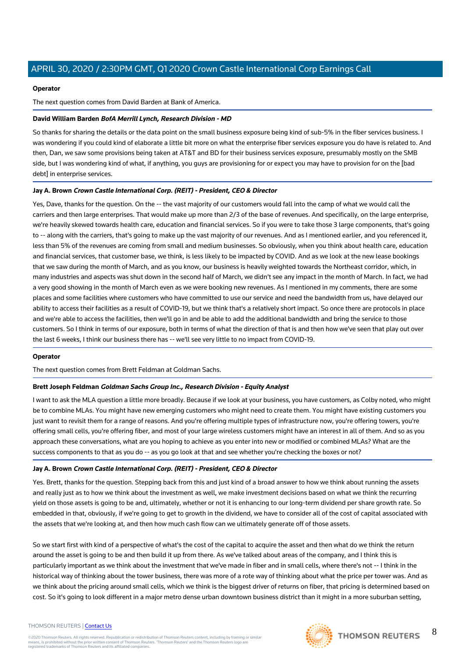## **Operator**

The next question comes from David Barden at Bank of America.

# **David William Barden BofA Merrill Lynch, Research Division - MD**

So thanks for sharing the details or the data point on the small business exposure being kind of sub-5% in the fiber services business. I was wondering if you could kind of elaborate a little bit more on what the enterprise fiber services exposure you do have is related to. And then, Dan, we saw some provisions being taken at AT&T and BD for their business services exposure, presumably mostly on the SMB side, but I was wondering kind of what, if anything, you guys are provisioning for or expect you may have to provision for on the [bad debt] in enterprise services.

# **Jay A. Brown Crown Castle International Corp. (REIT) - President, CEO & Director**

Yes, Dave, thanks for the question. On the -- the vast majority of our customers would fall into the camp of what we would call the carriers and then large enterprises. That would make up more than 2/3 of the base of revenues. And specifically, on the large enterprise, we're heavily skewed towards health care, education and financial services. So if you were to take those 3 large components, that's going to -- along with the carriers, that's going to make up the vast majority of our revenues. And as I mentioned earlier, and you referenced it, less than 5% of the revenues are coming from small and medium businesses. So obviously, when you think about health care, education and financial services, that customer base, we think, is less likely to be impacted by COVID. And as we look at the new lease bookings that we saw during the month of March, and as you know, our business is heavily weighted towards the Northeast corridor, which, in many industries and aspects was shut down in the second half of March, we didn't see any impact in the month of March. In fact, we had a very good showing in the month of March even as we were booking new revenues. As I mentioned in my comments, there are some places and some facilities where customers who have committed to use our service and need the bandwidth from us, have delayed our ability to access their facilities as a result of COVID-19, but we think that's a relatively short impact. So once there are protocols in place and we're able to access the facilities, then we'll go in and be able to add the additional bandwidth and bring the service to those customers. So I think in terms of our exposure, both in terms of what the direction of that is and then how we've seen that play out over the last 6 weeks, I think our business there has -- we'll see very little to no impact from COVID-19.

## **Operator**

The next question comes from Brett Feldman at Goldman Sachs.

## **Brett Joseph Feldman Goldman Sachs Group Inc., Research Division - Equity Analyst**

I want to ask the MLA question a little more broadly. Because if we look at your business, you have customers, as Colby noted, who might be to combine MLAs. You might have new emerging customers who might need to create them. You might have existing customers you just want to revisit them for a range of reasons. And you're offering multiple types of infrastructure now, you're offering towers, you're offering small cells, you're offering fiber, and most of your large wireless customers might have an interest in all of them. And so as you approach these conversations, what are you hoping to achieve as you enter into new or modified or combined MLAs? What are the success components to that as you do -- as you go look at that and see whether you're checking the boxes or not?

## **Jay A. Brown Crown Castle International Corp. (REIT) - President, CEO & Director**

Yes. Brett, thanks for the question. Stepping back from this and just kind of a broad answer to how we think about running the assets and really just as to how we think about the investment as well, we make investment decisions based on what we think the recurring yield on those assets is going to be and, ultimately, whether or not it is enhancing to our long-term dividend per share growth rate. So embedded in that, obviously, if we're going to get to growth in the dividend, we have to consider all of the cost of capital associated with the assets that we're looking at, and then how much cash flow can we ultimately generate off of those assets.

So we start first with kind of a perspective of what's the cost of the capital to acquire the asset and then what do we think the return around the asset is going to be and then build it up from there. As we've talked about areas of the company, and I think this is particularly important as we think about the investment that we've made in fiber and in small cells, where there's not -- I think in the historical way of thinking about the tower business, there was more of a rote way of thinking about what the price per tower was. And as we think about the pricing around small cells, which we think is the biggest driver of returns on fiber, that pricing is determined based on cost. So it's going to look different in a major metro dense urban downtown business district than it might in a more suburban setting,

#### THOMSON REUTERS | [Contact Us](https://my.thomsonreuters.com/ContactUsNew)

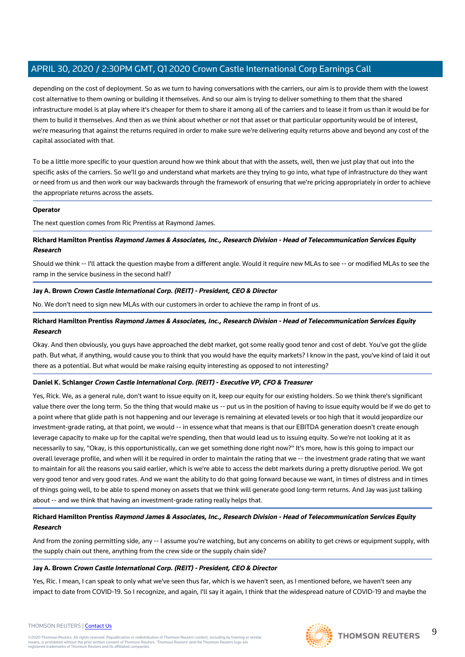depending on the cost of deployment. So as we turn to having conversations with the carriers, our aim is to provide them with the lowest cost alternative to them owning or building it themselves. And so our aim is trying to deliver something to them that the shared infrastructure model is at play where it's cheaper for them to share it among all of the carriers and to lease it from us than it would be for them to build it themselves. And then as we think about whether or not that asset or that particular opportunity would be of interest, we're measuring that against the returns required in order to make sure we're delivering equity returns above and beyond any cost of the capital associated with that.

To be a little more specific to your question around how we think about that with the assets, well, then we just play that out into the specific asks of the carriers. So we'll go and understand what markets are they trying to go into, what type of infrastructure do they want or need from us and then work our way backwards through the framework of ensuring that we're pricing appropriately in order to achieve the appropriate returns across the assets.

## **Operator**

The next question comes from Ric Prentiss at Raymond James.

# **Richard Hamilton Prentiss Raymond James & Associates, Inc., Research Division - Head of Telecommunication Services Equity Research**

Should we think -- I'll attack the question maybe from a different angle. Would it require new MLAs to see -- or modified MLAs to see the ramp in the service business in the second half?

## **Jay A. Brown Crown Castle International Corp. (REIT) - President, CEO & Director**

No. We don't need to sign new MLAs with our customers in order to achieve the ramp in front of us.

# **Richard Hamilton Prentiss Raymond James & Associates, Inc., Research Division - Head of Telecommunication Services Equity Research**

Okay. And then obviously, you guys have approached the debt market, got some really good tenor and cost of debt. You've got the glide path. But what, if anything, would cause you to think that you would have the equity markets? I know in the past, you've kind of laid it out there as a potential. But what would be make raising equity interesting as opposed to not interesting?

## **Daniel K. Schlanger Crown Castle International Corp. (REIT) - Executive VP, CFO & Treasurer**

Yes, Rick. We, as a general rule, don't want to issue equity on it, keep our equity for our existing holders. So we think there's significant value there over the long term. So the thing that would make us -- put us in the position of having to issue equity would be if we do get to a point where that glide path is not happening and our leverage is remaining at elevated levels or too high that it would jeopardize our investment-grade rating, at that point, we would -- in essence what that means is that our EBITDA generation doesn't create enough leverage capacity to make up for the capital we're spending, then that would lead us to issuing equity. So we're not looking at it as necessarily to say, "Okay, is this opportunistically, can we get something done right now?" It's more, how is this going to impact our overall leverage profile, and when will it be required in order to maintain the rating that we -- the investment grade rating that we want to maintain for all the reasons you said earlier, which is we're able to access the debt markets during a pretty disruptive period. We got very good tenor and very good rates. And we want the ability to do that going forward because we want, in times of distress and in times of things going well, to be able to spend money on assets that we think will generate good long-term returns. And Jay was just talking about -- and we think that having an investment-grade rating really helps that.

# **Richard Hamilton Prentiss Raymond James & Associates, Inc., Research Division - Head of Telecommunication Services Equity Research**

And from the zoning permitting side, any -- I assume you're watching, but any concerns on ability to get crews or equipment supply, with the supply chain out there, anything from the crew side or the supply chain side?

## **Jay A. Brown Crown Castle International Corp. (REIT) - President, CEO & Director**

Yes, Ric. I mean, I can speak to only what we've seen thus far, which is we haven't seen, as I mentioned before, we haven't seen any impact to date from COVID-19. So I recognize, and again, I'll say it again, I think that the widespread nature of COVID-19 and maybe the



#### THOMSON REUTERS | [Contact Us](https://my.thomsonreuters.com/ContactUsNew)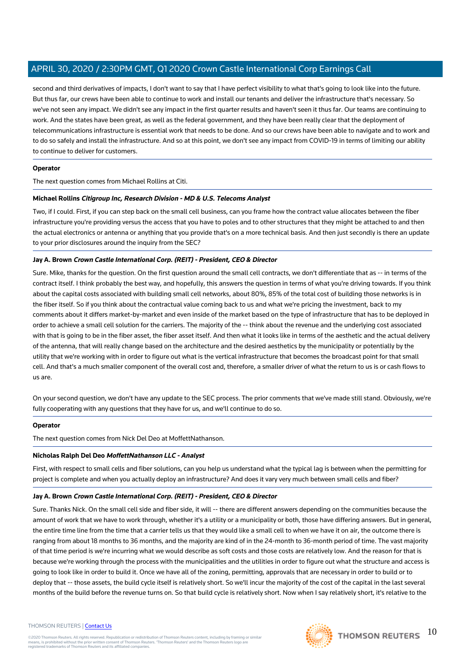second and third derivatives of impacts, I don't want to say that I have perfect visibility to what that's going to look like into the future. But thus far, our crews have been able to continue to work and install our tenants and deliver the infrastructure that's necessary. So we've not seen any impact. We didn't see any impact in the first quarter results and haven't seen it thus far. Our teams are continuing to work. And the states have been great, as well as the federal government, and they have been really clear that the deployment of telecommunications infrastructure is essential work that needs to be done. And so our crews have been able to navigate and to work and to do so safely and install the infrastructure. And so at this point, we don't see any impact from COVID-19 in terms of limiting our ability to continue to deliver for customers.

## **Operator**

The next question comes from Michael Rollins at Citi.

# **Michael Rollins Citigroup Inc, Research Division - MD & U.S. Telecoms Analyst**

Two, if I could. First, if you can step back on the small cell business, can you frame how the contract value allocates between the fiber infrastructure you're providing versus the access that you have to poles and to other structures that they might be attached to and then the actual electronics or antenna or anything that you provide that's on a more technical basis. And then just secondly is there an update to your prior disclosures around the inquiry from the SEC?

# **Jay A. Brown Crown Castle International Corp. (REIT) - President, CEO & Director**

Sure. Mike, thanks for the question. On the first question around the small cell contracts, we don't differentiate that as -- in terms of the contract itself. I think probably the best way, and hopefully, this answers the question in terms of what you're driving towards. If you think about the capital costs associated with building small cell networks, about 80%, 85% of the total cost of building those networks is in the fiber itself. So if you think about the contractual value coming back to us and what we're pricing the investment, back to my comments about it differs market-by-market and even inside of the market based on the type of infrastructure that has to be deployed in order to achieve a small cell solution for the carriers. The majority of the -- think about the revenue and the underlying cost associated with that is going to be in the fiber asset, the fiber asset itself. And then what it looks like in terms of the aesthetic and the actual delivery of the antenna, that will really change based on the architecture and the desired aesthetics by the municipality or potentially by the utility that we're working with in order to figure out what is the vertical infrastructure that becomes the broadcast point for that small cell. And that's a much smaller component of the overall cost and, therefore, a smaller driver of what the return to us is or cash flows to us are.

On your second question, we don't have any update to the SEC process. The prior comments that we've made still stand. Obviously, we're fully cooperating with any questions that they have for us, and we'll continue to do so.

## **Operator**

The next question comes from Nick Del Deo at MoffettNathanson.

## **Nicholas Ralph Del Deo MoffettNathanson LLC - Analyst**

First, with respect to small cells and fiber solutions, can you help us understand what the typical lag is between when the permitting for project is complete and when you actually deploy an infrastructure? And does it vary very much between small cells and fiber?

## **Jay A. Brown Crown Castle International Corp. (REIT) - President, CEO & Director**

Sure. Thanks Nick. On the small cell side and fiber side, it will -- there are different answers depending on the communities because the amount of work that we have to work through, whether it's a utility or a municipality or both, those have differing answers. But in general, the entire time line from the time that a carrier tells us that they would like a small cell to when we have it on air, the outcome there is ranging from about 18 months to 36 months, and the majority are kind of in the 24-month to 36-month period of time. The vast majority of that time period is we're incurring what we would describe as soft costs and those costs are relatively low. And the reason for that is because we're working through the process with the municipalities and the utilities in order to figure out what the structure and access is going to look like in order to build it. Once we have all of the zoning, permitting, approvals that are necessary in order to build or to deploy that -- those assets, the build cycle itself is relatively short. So we'll incur the majority of the cost of the capital in the last several months of the build before the revenue turns on. So that build cycle is relatively short. Now when I say relatively short, it's relative to the

#### THOMSON REUTERS | [Contact Us](https://my.thomsonreuters.com/ContactUsNew)

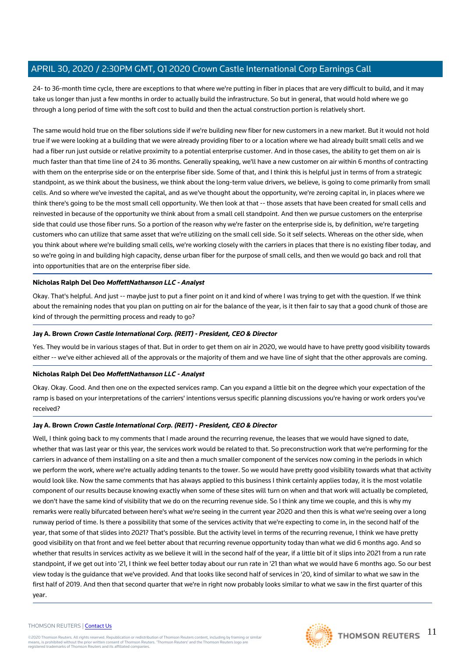24- to 36-month time cycle, there are exceptions to that where we're putting in fiber in places that are very difficult to build, and it may take us longer than just a few months in order to actually build the infrastructure. So but in general, that would hold where we go through a long period of time with the soft cost to build and then the actual construction portion is relatively short.

The same would hold true on the fiber solutions side if we're building new fiber for new customers in a new market. But it would not hold true if we were looking at a building that we were already providing fiber to or a location where we had already built small cells and we had a fiber run just outside or relative proximity to a potential enterprise customer. And in those cases, the ability to get them on air is much faster than that time line of 24 to 36 months. Generally speaking, we'll have a new customer on air within 6 months of contracting with them on the enterprise side or on the enterprise fiber side. Some of that, and I think this is helpful just in terms of from a strategic standpoint, as we think about the business, we think about the long-term value drivers, we believe, is going to come primarily from small cells. And so where we've invested the capital, and as we've thought about the opportunity, we're zeroing capital in, in places where we think there's going to be the most small cell opportunity. We then look at that -- those assets that have been created for small cells and reinvested in because of the opportunity we think about from a small cell standpoint. And then we pursue customers on the enterprise side that could use those fiber runs. So a portion of the reason why we're faster on the enterprise side is, by definition, we're targeting customers who can utilize that same asset that we're utilizing on the small cell side. So it self selects. Whereas on the other side, when you think about where we're building small cells, we're working closely with the carriers in places that there is no existing fiber today, and so we're going in and building high capacity, dense urban fiber for the purpose of small cells, and then we would go back and roll that into opportunities that are on the enterprise fiber side.

## **Nicholas Ralph Del Deo MoffettNathanson LLC - Analyst**

Okay. That's helpful. And just -- maybe just to put a finer point on it and kind of where I was trying to get with the question. If we think about the remaining nodes that you plan on putting on air for the balance of the year, is it then fair to say that a good chunk of those are kind of through the permitting process and ready to go?

## **Jay A. Brown Crown Castle International Corp. (REIT) - President, CEO & Director**

Yes. They would be in various stages of that. But in order to get them on air in 2020, we would have to have pretty good visibility towards either -- we've either achieved all of the approvals or the majority of them and we have line of sight that the other approvals are coming.

## **Nicholas Ralph Del Deo MoffettNathanson LLC - Analyst**

Okay. Okay. Good. And then one on the expected services ramp. Can you expand a little bit on the degree which your expectation of the ramp is based on your interpretations of the carriers' intentions versus specific planning discussions you're having or work orders you've received?

## **Jay A. Brown Crown Castle International Corp. (REIT) - President, CEO & Director**

Well, I think going back to my comments that I made around the recurring revenue, the leases that we would have signed to date, whether that was last year or this year, the services work would be related to that. So preconstruction work that we're performing for the carriers in advance of them installing on a site and then a much smaller component of the services now coming in the periods in which we perform the work, where we're actually adding tenants to the tower. So we would have pretty good visibility towards what that activity would look like. Now the same comments that has always applied to this business I think certainly applies today, it is the most volatile component of our results because knowing exactly when some of these sites will turn on when and that work will actually be completed, we don't have the same kind of visibility that we do on the recurring revenue side. So I think any time we couple, and this is why my remarks were really bifurcated between here's what we're seeing in the current year 2020 and then this is what we're seeing over a long runway period of time. Is there a possibility that some of the services activity that we're expecting to come in, in the second half of the year, that some of that slides into 2021? That's possible. But the activity level in terms of the recurring revenue, I think we have pretty good visibility on that front and we feel better about that recurring revenue opportunity today than what we did 6 months ago. And so whether that results in services activity as we believe it will in the second half of the year, if a little bit of it slips into 2021 from a run rate standpoint, if we get out into '21, I think we feel better today about our run rate in '21 than what we would have 6 months ago. So our best view today is the guidance that we've provided. And that looks like second half of services in '20, kind of similar to what we saw in the first half of 2019. And then that second quarter that we're in right now probably looks similar to what we saw in the first quarter of this year.

#### THOMSON REUTERS | [Contact Us](https://my.thomsonreuters.com/ContactUsNew)

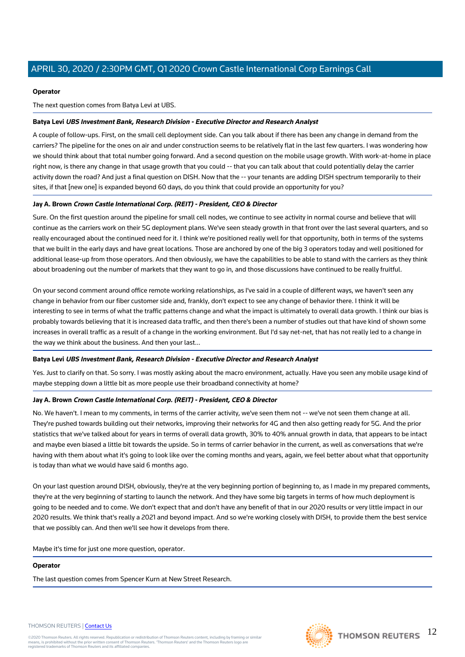#### **Operator**

The next question comes from Batya Levi at UBS.

## **Batya Levi UBS Investment Bank, Research Division - Executive Director and Research Analyst**

A couple of follow-ups. First, on the small cell deployment side. Can you talk about if there has been any change in demand from the carriers? The pipeline for the ones on air and under construction seems to be relatively flat in the last few quarters. I was wondering how we should think about that total number going forward. And a second question on the mobile usage growth. With work-at-home in place right now, is there any change in that usage growth that you could -- that you can talk about that could potentially delay the carrier activity down the road? And just a final question on DISH. Now that the -- your tenants are adding DISH spectrum temporarily to their sites, if that [new one] is expanded beyond 60 days, do you think that could provide an opportunity for you?

#### **Jay A. Brown Crown Castle International Corp. (REIT) - President, CEO & Director**

Sure. On the first question around the pipeline for small cell nodes, we continue to see activity in normal course and believe that will continue as the carriers work on their 5G deployment plans. We've seen steady growth in that front over the last several quarters, and so really encouraged about the continued need for it. I think we're positioned really well for that opportunity, both in terms of the systems that we built in the early days and have great locations. Those are anchored by one of the big 3 operators today and well positioned for additional lease-up from those operators. And then obviously, we have the capabilities to be able to stand with the carriers as they think about broadening out the number of markets that they want to go in, and those discussions have continued to be really fruitful.

On your second comment around office remote working relationships, as I've said in a couple of different ways, we haven't seen any change in behavior from our fiber customer side and, frankly, don't expect to see any change of behavior there. I think it will be interesting to see in terms of what the traffic patterns change and what the impact is ultimately to overall data growth. I think our bias is probably towards believing that it is increased data traffic, and then there's been a number of studies out that have kind of shown some increases in overall traffic as a result of a change in the working environment. But I'd say net-net, that has not really led to a change in the way we think about the business. And then your last...

#### **Batya Levi UBS Investment Bank, Research Division - Executive Director and Research Analyst**

Yes. Just to clarify on that. So sorry. I was mostly asking about the macro environment, actually. Have you seen any mobile usage kind of maybe stepping down a little bit as more people use their broadband connectivity at home?

## **Jay A. Brown Crown Castle International Corp. (REIT) - President, CEO & Director**

No. We haven't. I mean to my comments, in terms of the carrier activity, we've seen them not -- we've not seen them change at all. They're pushed towards building out their networks, improving their networks for 4G and then also getting ready for 5G. And the prior statistics that we've talked about for years in terms of overall data growth, 30% to 40% annual growth in data, that appears to be intact and maybe even biased a little bit towards the upside. So in terms of carrier behavior in the current, as well as conversations that we're having with them about what it's going to look like over the coming months and years, again, we feel better about what that opportunity is today than what we would have said 6 months ago.

On your last question around DISH, obviously, they're at the very beginning portion of beginning to, as I made in my prepared comments, they're at the very beginning of starting to launch the network. And they have some big targets in terms of how much deployment is going to be needed and to come. We don't expect that and don't have any benefit of that in our 2020 results or very little impact in our 2020 results. We think that's really a 2021 and beyond impact. And so we're working closely with DISH, to provide them the best service that we possibly can. And then we'll see how it develops from there.

Maybe it's time for just one more question, operator.

#### **Operator**

The last question comes from Spencer Kurn at New Street Research.



# THOMSON REUTERS 12

#### THOMSON REUTERS | [Contact Us](https://my.thomsonreuters.com/ContactUsNew)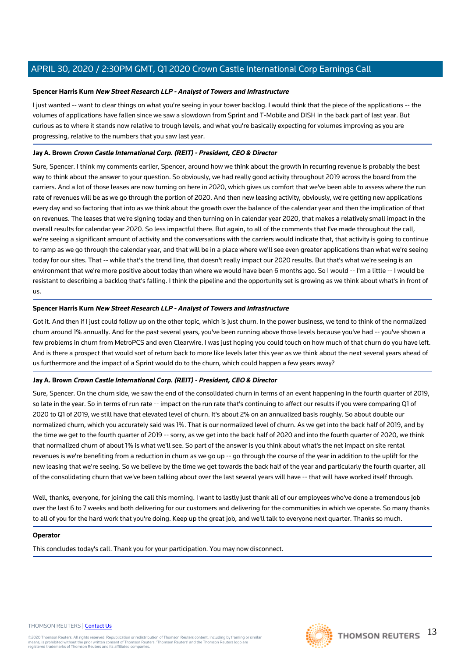## **Spencer Harris Kurn New Street Research LLP - Analyst of Towers and Infrastructure**

I just wanted -- want to clear things on what you're seeing in your tower backlog. I would think that the piece of the applications -- the volumes of applications have fallen since we saw a slowdown from Sprint and T-Mobile and DISH in the back part of last year. But curious as to where it stands now relative to trough levels, and what you're basically expecting for volumes improving as you are progressing, relative to the numbers that you saw last year.

## **Jay A. Brown Crown Castle International Corp. (REIT) - President, CEO & Director**

Sure, Spencer. I think my comments earlier, Spencer, around how we think about the growth in recurring revenue is probably the best way to think about the answer to your question. So obviously, we had really good activity throughout 2019 across the board from the carriers. And a lot of those leases are now turning on here in 2020, which gives us comfort that we've been able to assess where the run rate of revenues will be as we go through the portion of 2020. And then new leasing activity, obviously, we're getting new applications every day and so factoring that into as we think about the growth over the balance of the calendar year and then the implication of that on revenues. The leases that we're signing today and then turning on in calendar year 2020, that makes a relatively small impact in the overall results for calendar year 2020. So less impactful there. But again, to all of the comments that I've made throughout the call, we're seeing a significant amount of activity and the conversations with the carriers would indicate that, that activity is going to continue to ramp as we go through the calendar year, and that will be in a place where we'll see even greater applications than what we're seeing today for our sites. That -- while that's the trend line, that doesn't really impact our 2020 results. But that's what we're seeing is an environment that we're more positive about today than where we would have been 6 months ago. So I would -- I'm a little -- I would be resistant to describing a backlog that's falling. I think the pipeline and the opportunity set is growing as we think about what's in front of us.

## **Spencer Harris Kurn New Street Research LLP - Analyst of Towers and Infrastructure**

Got it. And then if I just could follow up on the other topic, which is just churn. In the power business, we tend to think of the normalized churn around 1% annually. And for the past several years, you've been running above those levels because you've had -- you've shown a few problems in churn from MetroPCS and even Clearwire. I was just hoping you could touch on how much of that churn do you have left. And is there a prospect that would sort of return back to more like levels later this year as we think about the next several years ahead of us furthermore and the impact of a Sprint would do to the churn, which could happen a few years away?

## **Jay A. Brown Crown Castle International Corp. (REIT) - President, CEO & Director**

Sure, Spencer. On the churn side, we saw the end of the consolidated churn in terms of an event happening in the fourth quarter of 2019, so late in the year. So in terms of run rate -- impact on the run rate that's continuing to affect our results if you were comparing Q1 of 2020 to Q1 of 2019, we still have that elevated level of churn. It's about 2% on an annualized basis roughly. So about double our normalized churn, which you accurately said was 1%. That is our normalized level of churn. As we get into the back half of 2019, and by the time we get to the fourth quarter of 2019 -- sorry, as we get into the back half of 2020 and into the fourth quarter of 2020, we think that normalized churn of about 1% is what we'll see. So part of the answer is you think about what's the net impact on site rental revenues is we're benefiting from a reduction in churn as we go up -- go through the course of the year in addition to the uplift for the new leasing that we're seeing. So we believe by the time we get towards the back half of the year and particularly the fourth quarter, all of the consolidating churn that we've been talking about over the last several years will have -- that will have worked itself through.

Well, thanks, everyone, for joining the call this morning. I want to lastly just thank all of our employees who've done a tremendous job over the last 6 to 7 weeks and both delivering for our customers and delivering for the communities in which we operate. So many thanks to all of you for the hard work that you're doing. Keep up the great job, and we'll talk to everyone next quarter. Thanks so much.

#### **Operator**

This concludes today's call. Thank you for your participation. You may now disconnect.